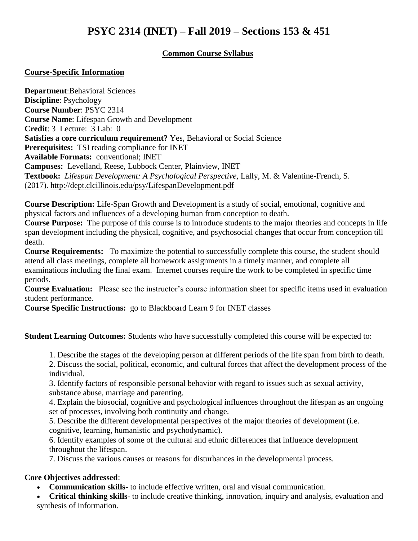# **PSYC 2314 (INET) – Fall 2019 – Sections 153 & 451**

## **Common Course Syllabus**

#### **Course-Specific Information**

**Department**:Behavioral Sciences **Discipline**: Psychology **Course Number**: PSYC 2314 **Course Name**: Lifespan Growth and Development **Credit**: 3 Lecture: 3 Lab: 0 **Satisfies a core curriculum requirement?** Yes, Behavioral or Social Science **Prerequisites:** TSI reading compliance for INET **Available Formats:** conventional; INET **Campuses:** Levelland, Reese, Lubbock Center, Plainview, INET **Textbook:** *Lifespan Development: A Psychological Perspective,* Lally, M. & Valentine-French, S. (2017). <http://dept.clcillinois.edu/psy/LifespanDevelopment.pdf>

**Course Description:** Life-Span Growth and Development is a study of social, emotional, cognitive and physical factors and influences of a developing human from conception to death.

**Course Purpose:** The purpose of this course is to introduce students to the major theories and concepts in life span development including the physical, cognitive, and psychosocial changes that occur from conception till death.

**Course Requirements:** To maximize the potential to successfully complete this course, the student should attend all class meetings, complete all homework assignments in a timely manner, and complete all examinations including the final exam. Internet courses require the work to be completed in specific time periods.

**Course Evaluation:** Please see the instructor's course information sheet for specific items used in evaluation student performance.

**Course Specific Instructions:** go to Blackboard Learn 9 for INET classes

**Student Learning Outcomes:** Students who have successfully completed this course will be expected to:

1. Describe the stages of the developing person at different periods of the life span from birth to death.

2. Discuss the social, political, economic, and cultural forces that affect the development process of the individual.

3. Identify factors of responsible personal behavior with regard to issues such as sexual activity, substance abuse, marriage and parenting.

4. Explain the biosocial, cognitive and psychological influences throughout the lifespan as an ongoing set of processes, involving both continuity and change.

5. Describe the different developmental perspectives of the major theories of development (i.e. cognitive, learning, humanistic and psychodynamic).

6. Identify examples of some of the cultural and ethnic differences that influence development throughout the lifespan.

7. Discuss the various causes or reasons for disturbances in the developmental process.

## **Core Objectives addressed**:

**Communication skills**- to include effective written, oral and visual communication.

 **Critical thinking skills**- to include creative thinking, innovation, inquiry and analysis, evaluation and synthesis of information.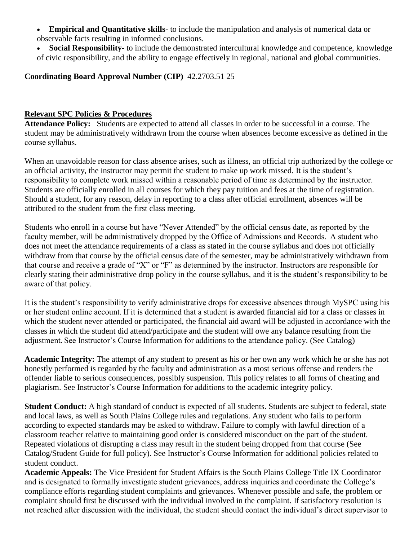- **Empirical and Quantitative skills** to include the manipulation and analysis of numerical data or observable facts resulting in informed conclusions.
- **Social Responsibility** to include the demonstrated intercultural knowledge and competence, knowledge of civic responsibility, and the ability to engage effectively in regional, national and global communities.

**Coordinating Board Approval Number (CIP)** 42.2703.51 25

## **Relevant SPC Policies & Procedures**

**Attendance Policy:** Students are expected to attend all classes in order to be successful in a course. The student may be administratively withdrawn from the course when absences become excessive as defined in the course syllabus. 

When an unavoidable reason for class absence arises, such as illness, an official trip authorized by the college or an official activity, the instructor may permit the student to make up work missed. It is the student's responsibility to complete work missed within a reasonable period of time as determined by the instructor.  Students are officially enrolled in all courses for which they pay tuition and fees at the time of registration. Should a student, for any reason, delay in reporting to a class after official enrollment, absences will be attributed to the student from the first class meeting.

Students who enroll in a course but have "Never Attended" by the official census date, as reported by the faculty member, will be administratively dropped by the Office of Admissions and Records.  A student who does not meet the attendance requirements of a class as stated in the course syllabus and does not officially withdraw from that course by the official census date of the semester, may be administratively withdrawn from that course and receive a grade of "X" or "F" as determined by the instructor. Instructors are responsible for clearly stating their administrative drop policy in the course syllabus, and it is the student's responsibility to be aware of that policy.  

It is the student's responsibility to verify administrative drops for excessive absences through MySPC using his or her student online account. If it is determined that a student is awarded financial aid for a class or classes in which the student never attended or participated, the financial aid award will be adjusted in accordance with the classes in which the student did attend/participate and the student will owe any balance resulting from the adjustment. See Instructor's Course Information for additions to the attendance policy. (See Catalog)

**Academic Integrity:** The attempt of any student to present as his or her own any work which he or she has not honestly performed is regarded by the faculty and administration as a most serious offense and renders the offender liable to serious consequences, possibly suspension. This policy relates to all forms of cheating and plagiarism. See Instructor's Course Information for additions to the academic integrity policy.

**Student Conduct:** A high standard of conduct is expected of all students. Students are subject to federal, state and local laws, as well as South Plains College rules and regulations. Any student who fails to perform according to expected standards may be asked to withdraw. Failure to comply with lawful direction of a classroom teacher relative to maintaining good order is considered misconduct on the part of the student. Repeated violations of disrupting a class may result in the student being dropped from that course (See Catalog/Student Guide for full policy). See Instructor's Course Information for additional policies related to student conduct.

**Academic Appeals:** The Vice President for Student Affairs is the South Plains College Title IX Coordinator and is designated to formally investigate student grievances, address inquiries and coordinate the College's compliance efforts regarding student complaints and grievances. Whenever possible and safe, the problem or complaint should first be discussed with the individual involved in the complaint. If satisfactory resolution is not reached after discussion with the individual, the student should contact the individual's direct supervisor to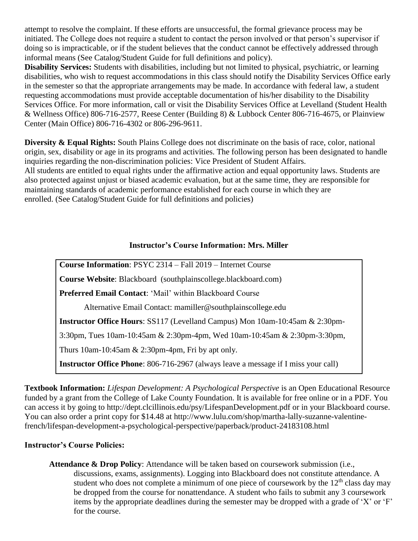attempt to resolve the complaint. If these efforts are unsuccessful, the formal grievance process may be initiated. The College does not require a student to contact the person involved or that person's supervisor if doing so is impracticable, or if the student believes that the conduct cannot be effectively addressed through informal means (See Catalog/Student Guide for full definitions and policy).

**Disability Services:** Students with disabilities, including but not limited to physical, psychiatric, or learning disabilities, who wish to request accommodations in this class should notify the Disability Services Office early in the semester so that the appropriate arrangements may be made. In accordance with federal law, a student requesting accommodations must provide acceptable documentation of his/her disability to the Disability Services Office. For more information, call or visit the Disability Services Office at Levelland (Student Health & Wellness Office) 806-716-2577, Reese Center (Building 8) & Lubbock Center 806-716-4675, or Plainview Center (Main Office) 806-716-4302 or 806-296-9611.

**Diversity & Equal Rights:** South Plains College does not discriminate on the basis of race, color, national origin, sex, disability or age in its programs and activities. The following person has been designated to handle inquiries regarding the non-discrimination policies: Vice President of Student Affairs. All students are entitled to equal rights under the affirmative action and equal opportunity laws. Students are also protected against unjust or biased academic evaluation, but at the same time, they are responsible for maintaining standards of academic performance established for each course in which they are enrolled. (See Catalog/Student Guide for full definitions and policies)

## **Instructor's Course Information: Mrs. Miller**

**Course Information**: PSYC 2314 – Fall 2019 – Internet Course **Course Website**: Blackboard (southplainscollege.blackboard.com) **Preferred Email Contact**: 'Mail' within Blackboard Course Alternative Email Contact: [mamiller@southplainscollege.edu](mailto:mamiller@southplainscollege.edu) **Instructor Office Hours**: SS117 (Levelland Campus) Mon 10am-10:45am & 2:30pm-3:30pm, Tues 10am-10:45am & 2:30pm-4pm, Wed 10am-10:45am & 2:30pm-3:30pm, Thurs 10am-10:45am & 2:30pm-4pm, Fri by apt only. **Instructor Office Phone**: 806-716-2967 (always leave a message if I miss your call)

**Textbook Information:** *Lifespan Development: A Psychological Perspective* is an Open Educational Resource funded by a grant from the College of Lake County Foundation. It is available for free online or in a PDF. You can access it by going to <http://dept.clcillinois.edu/psy/LifespanDevelopment.pdf> or in your Blackboard course. You can also order a print copy for \$14.48 at [http://www.lulu.com/shop/martha-lally-suzanne-valentine](http://www.lulu.com/shop/martha-lally-suzanne-valentine-french/lifespan-development-a-psychological-perspective/paperback/product-24183108.html)[french/lifespan-development-a-psychological-perspective/paperback/product-24183108.html](http://www.lulu.com/shop/martha-lally-suzanne-valentine-french/lifespan-development-a-psychological-perspective/paperback/product-24183108.html)

## **Instructor's Course Policies:**

**Attendance & Drop Policy**: Attendance will be taken based on coursework submission (i.e., discussions, exams, assignments). Logging into Blackboard does not constitute attendance. A student who does not complete a minimum of one piece of coursework by the  $12<sup>th</sup>$  class day may be dropped from the course for nonattendance. A student who fails to submit any 3 coursework items by the appropriate deadlines during the semester may be dropped with a grade of 'X' or 'F' for the course.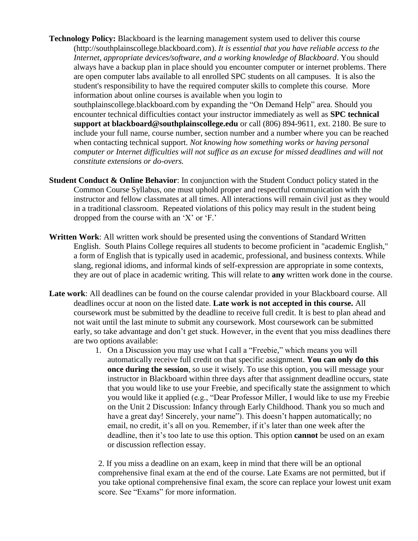- **Technology Policy:** Blackboard is the learning management system used to deliver this course [\(http://southplainscollege.blackboard.com\)](https://southplainscollege.blackboard.com/). *It is essential that you have reliable access to the Internet, appropriate devices/software, and a working knowledge of Blackboard*. You should always have a backup plan in place should you encounter computer or internet problems. There are open computer labs available to all enrolled SPC students on all campuses. It is also the student's responsibility to have the required computer skills to complete this course. More information about online courses is available when you login to [southplainscollege.blackboard.com](http://www.southplainscollege.edu/online) by expanding the "On Demand Help" area. Should you encounter technical difficulties contact your instructor immediately as well as **SPC technical support at [blackboard@southplainscollege.edu](mailto:blackboard@southplainscollege.edu)** or call (806) 894-9611, ext. 2180. Be sure to include your full name, course number, section number and a number where you can be reached when contacting technical support. *Not knowing how something works or having personal computer or Internet difficulties will not suffice as an excuse for missed deadlines and will not constitute extensions or do-overs.*
- **Student Conduct & Online Behavior**: In conjunction with the Student Conduct policy stated in the Common Course Syllabus, one must uphold proper and respectful communication with the instructor and fellow classmates at all times. All interactions will remain civil just as they would in a traditional classroom. Repeated violations of this policy may result in the student being dropped from the course with an 'X' or 'F.'
- **Written Work**: All written work should be presented using the conventions of Standard Written English. South Plains College requires all students to become proficient in "academic English," a form of English that is typically used in academic, professional, and business contexts. While slang, regional idioms, and informal kinds of self-expression are appropriate in some contexts, they are out of place in academic writing. This will relate to **any** written work done in the course.
- **Late work**: All deadlines can be found on the course calendar provided in your Blackboard course. All deadlines occur at noon on the listed date. **Late work is not accepted in this course.** All coursework must be submitted by the deadline to receive full credit. It is best to plan ahead and not wait until the last minute to submit any coursework. Most coursework can be submitted early, so take advantage and don't get stuck. However, in the event that you miss deadlines there are two options available:
	- 1. On a Discussion you may use what I call a "Freebie," which means you will automatically receive full credit on that specific assignment. **You can only do this once during the session**, so use it wisely. To use this option, you will message your instructor in Blackboard within three days after that assignment deadline occurs, state that you would like to use your Freebie, and specifically state the assignment to which you would like it applied (e.g., "Dear Professor Miller, I would like to use my Freebie on the Unit 2 Discussion: Infancy through Early Childhood. Thank you so much and have a great day! Sincerely, your name"). This doesn't happen automatically; no email, no credit, it's all on you. Remember, if it's later than one week after the deadline, then it's too late to use this option. This option **cannot** be used on an exam or discussion reflection essay.

2. If you miss a deadline on an exam, keep in mind that there will be an optional comprehensive final exam at the end of the course. Late Exams are not permitted, but if you take optional comprehensive final exam, the score can replace your lowest unit exam score. See "Exams" for more information.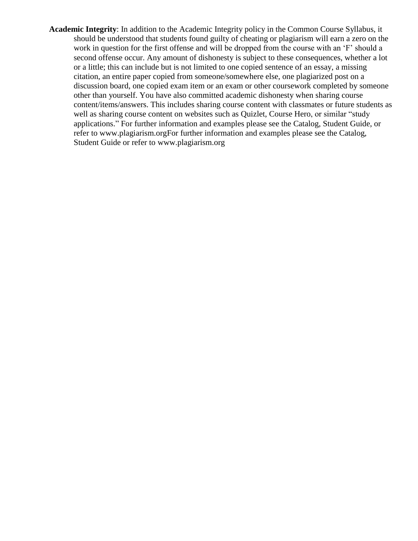**Academic Integrity**: In addition to the Academic Integrity policy in the Common Course Syllabus, it should be understood that students found guilty of cheating or plagiarism will earn a zero on the work in question for the first offense and will be dropped from the course with an 'F' should a second offense occur. Any amount of dishonesty is subject to these consequences, whether a lot or a little; this can include but is not limited to one copied sentence of an essay, a missing citation, an entire paper copied from someone/somewhere else, one plagiarized post on a discussion board, one copied exam item or an exam or other coursework completed by someone other than yourself. You have also committed academic dishonesty when sharing course content/items/answers. This includes sharing course content with classmates or future students as well as sharing course content on websites such as Quizlet, Course Hero, or similar "study applications." For further information and examples please see the Catalog, Student Guide, or refer to [www.plagiarism.orgF](http://www.plagiarism.org/)or further information and examples please see the Catalog, Student Guide or refer to [www.plagiarism.org](http://www.plagiarism.org/)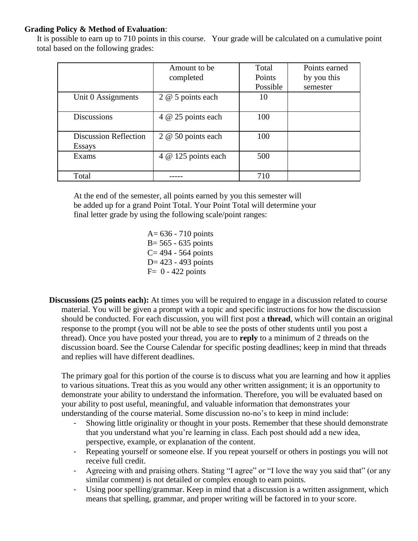## **Grading Policy & Method of Evaluation**:

It is possible to earn up to 710 points in this course. Your grade will be calculated on a cumulative point total based on the following grades:

|                              | Amount to be        | Total    | Points earned |
|------------------------------|---------------------|----------|---------------|
|                              | completed           | Points   | by you this   |
|                              |                     | Possible | semester      |
| Unit 0 Assignments           | 2 @ 5 points each   | 10       |               |
|                              |                     |          |               |
| <b>Discussions</b>           | 4 @ 25 points each  | 100      |               |
|                              |                     |          |               |
| <b>Discussion Reflection</b> | 2 @ 50 points each  | 100      |               |
| Essays                       |                     |          |               |
| Exams                        | 4 @ 125 points each | 500      |               |
|                              |                     |          |               |
| Total                        |                     | 710      |               |

At the end of the semester, all points earned by you this semester will be added up for a grand Point Total. Your Point Total will determine your final letter grade by using the following scale/point ranges:

- A= 636 710 points  $B = 565 - 635$  points  $C = 494 - 564$  points D= 423 - 493 points  $F= 0 - 422$  points
- **Discussions (25 points each):** At times you will be required to engage in a discussion related to course material. You will be given a prompt with a topic and specific instructions for how the discussion should be conducted. For each discussion, you will first post a **thread**, which will contain an original response to the prompt (you will not be able to see the posts of other students until you post a thread). Once you have posted your thread, you are to **reply** to a minimum of 2 threads on the discussion board. See the Course Calendar for specific posting deadlines; keep in mind that threads and replies will have different deadlines.

The primary goal for this portion of the course is to discuss what you are learning and how it applies to various situations. Treat this as you would any other written assignment; it is an opportunity to demonstrate your ability to understand the information. Therefore, you will be evaluated based on your ability to post useful, meaningful, and valuable information that demonstrates your understanding of the course material. Some discussion no-no's to keep in mind include:

- Showing little originality or thought in your posts. Remember that these should demonstrate that you understand what you're learning in class. Each post should add a new idea, perspective, example, or explanation of the content.
- Repeating yourself or someone else. If you repeat yourself or others in postings you will not receive full credit.
- Agreeing with and praising others. Stating "I agree" or "I love the way you said that" (or any similar comment) is not detailed or complex enough to earn points.
- Using poor spelling/grammar. Keep in mind that a discussion is a written assignment, which means that spelling, grammar, and proper writing will be factored in to your score.